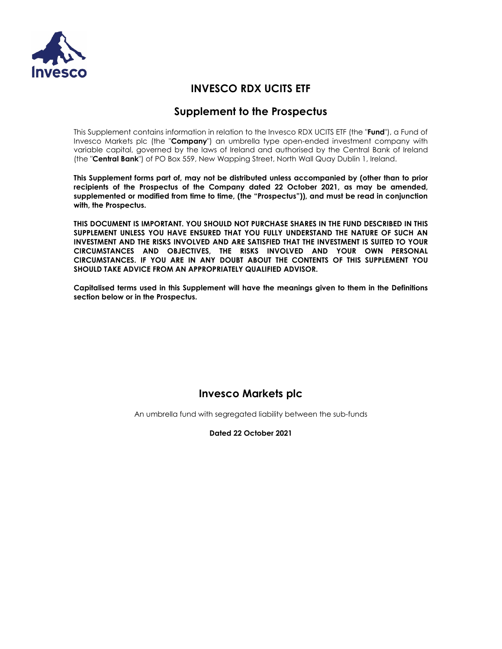

# **INVESCO RDX UCITS ETF**

# **Supplement to the Prospectus**

This Supplement contains information in relation to the Invesco RDX UCITS ETF (the "**Fund**"), a Fund of Invesco Markets plc (the "**Company**") an umbrella type open-ended investment company with variable capital, governed by the laws of Ireland and authorised by the Central Bank of Ireland (the "**Central Bank**") of PO Box 559, New Wapping Street, North Wall Quay Dublin 1, Ireland.

**This Supplement forms part of, may not be distributed unless accompanied by (other than to prior recipients of the Prospectus of the Company dated 22 October 2021, as may be amended, supplemented or modified from time to time, (the "Prospectus")), and must be read in conjunction with, the Prospectus.** 

**THIS DOCUMENT IS IMPORTANT. YOU SHOULD NOT PURCHASE SHARES IN THE FUND DESCRIBED IN THIS SUPPLEMENT UNLESS YOU HAVE ENSURED THAT YOU FULLY UNDERSTAND THE NATURE OF SUCH AN INVESTMENT AND THE RISKS INVOLVED AND ARE SATISFIED THAT THE INVESTMENT IS SUITED TO YOUR CIRCUMSTANCES AND OBJECTIVES, THE RISKS INVOLVED AND YOUR OWN PERSONAL CIRCUMSTANCES. IF YOU ARE IN ANY DOUBT ABOUT THE CONTENTS OF THIS SUPPLEMENT YOU SHOULD TAKE ADVICE FROM AN APPROPRIATELY QUALIFIED ADVISOR.** 

**Capitalised terms used in this Supplement will have the meanings given to them in the Definitions section below or in the Prospectus.** 

# **Invesco Markets plc**

An umbrella fund with segregated liability between the sub-funds

**Dated 22 October 2021**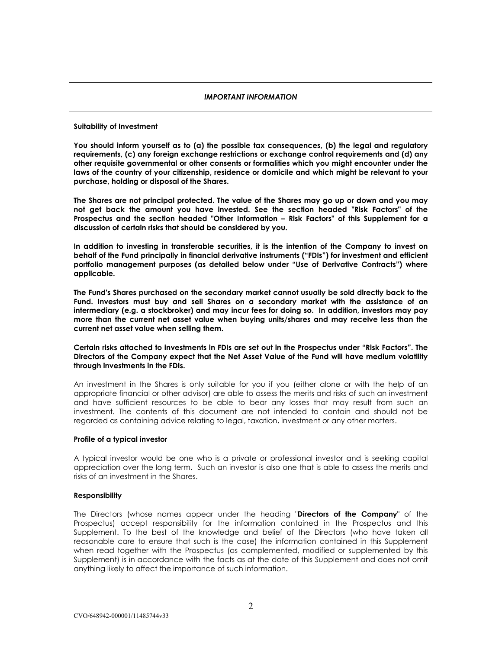# *IMPORTANT INFORMATION*

# **Suitability of Investment**

**You should inform yourself as to (a) the possible tax consequences, (b) the legal and regulatory requirements, (c) any foreign exchange restrictions or exchange control requirements and (d) any other requisite governmental or other consents or formalities which you might encounter under the laws of the country of your citizenship, residence or domicile and which might be relevant to your purchase, holding or disposal of the Shares.**

**The Shares are not principal protected. The value of the Shares may go up or down and you may not get back the amount you have invested. See the section headed "Risk Factors" of the Prospectus and the section headed "Other Information – Risk Factors" of this Supplement for a discussion of certain risks that should be considered by you.**

**In addition to investing in transferable securities, it is the intention of the Company to invest on behalf of the Fund principally in financial derivative instruments ("FDIs") for investment and efficient portfolio management purposes (as detailed below under "Use of Derivative Contracts") where applicable.**

**The Fund's Shares purchased on the secondary market cannot usually be sold directly back to the Fund. Investors must buy and sell Shares on a secondary market with the assistance of an intermediary (e.g. a stockbroker) and may incur fees for doing so. In addition, investors may pay more than the current net asset value when buying units/shares and may receive less than the current net asset value when selling them.**

# **Certain risks attached to investments in FDIs are set out in the Prospectus under "Risk Factors". The Directors of the Company expect that the Net Asset Value of the Fund will have medium volatility through investments in the FDIs.**

An investment in the Shares is only suitable for you if you (either alone or with the help of an appropriate financial or other advisor) are able to assess the merits and risks of such an investment and have sufficient resources to be able to bear any losses that may result from such an investment. The contents of this document are not intended to contain and should not be regarded as containing advice relating to legal, taxation, investment or any other matters.

# **Profile of a typical investor**

A typical investor would be one who is a private or professional investor and is seeking capital appreciation over the long term. Such an investor is also one that is able to assess the merits and risks of an investment in the Shares.

# **Responsibility**

The Directors (whose names appear under the heading "**Directors of the Company**" of the Prospectus) accept responsibility for the information contained in the Prospectus and this Supplement. To the best of the knowledge and belief of the Directors (who have taken all reasonable care to ensure that such is the case) the information contained in this Supplement when read together with the Prospectus (as complemented, modified or supplemented by this Supplement) is in accordance with the facts as at the date of this Supplement and does not omit anything likely to affect the importance of such information.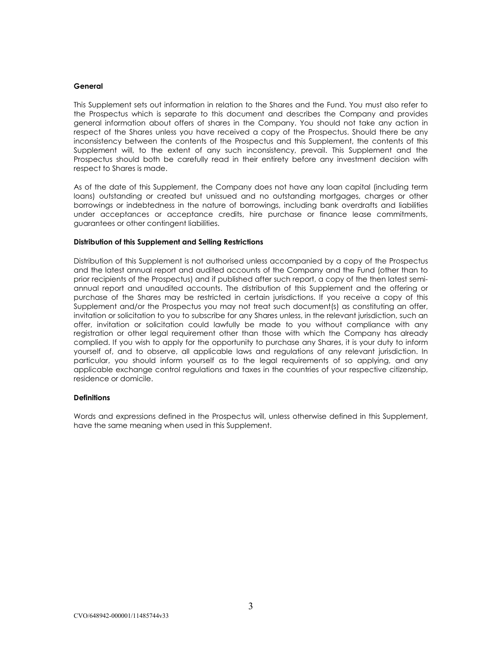# **General**

This Supplement sets out information in relation to the Shares and the Fund. You must also refer to the Prospectus which is separate to this document and describes the Company and provides general information about offers of shares in the Company. You should not take any action in respect of the Shares unless you have received a copy of the Prospectus. Should there be any inconsistency between the contents of the Prospectus and this Supplement, the contents of this Supplement will, to the extent of any such inconsistency, prevail. This Supplement and the Prospectus should both be carefully read in their entirety before any investment decision with respect to Shares is made.

As of the date of this Supplement, the Company does not have any loan capital (including term loans) outstanding or created but unissued and no outstanding mortgages, charges or other borrowings or indebtedness in the nature of borrowings, including bank overdrafts and liabilities under acceptances or acceptance credits, hire purchase or finance lease commitments, guarantees or other contingent liabilities.

# **Distribution of this Supplement and Selling Restrictions**

Distribution of this Supplement is not authorised unless accompanied by a copy of the Prospectus and the latest annual report and audited accounts of the Company and the Fund (other than to prior recipients of the Prospectus) and if published after such report, a copy of the then latest semiannual report and unaudited accounts. The distribution of this Supplement and the offering or purchase of the Shares may be restricted in certain jurisdictions. If you receive a copy of this Supplement and/or the Prospectus you may not treat such document(s) as constituting an offer, invitation or solicitation to you to subscribe for any Shares unless, in the relevant jurisdiction, such an offer, invitation or solicitation could lawfully be made to you without compliance with any registration or other legal requirement other than those with which the Company has already complied. If you wish to apply for the opportunity to purchase any Shares, it is your duty to inform yourself of, and to observe, all applicable laws and regulations of any relevant jurisdiction. In particular, you should inform yourself as to the legal requirements of so applying, and any applicable exchange control regulations and taxes in the countries of your respective citizenship, residence or domicile.

# **Definitions**

Words and expressions defined in the Prospectus will, unless otherwise defined in this Supplement, have the same meaning when used in this Supplement.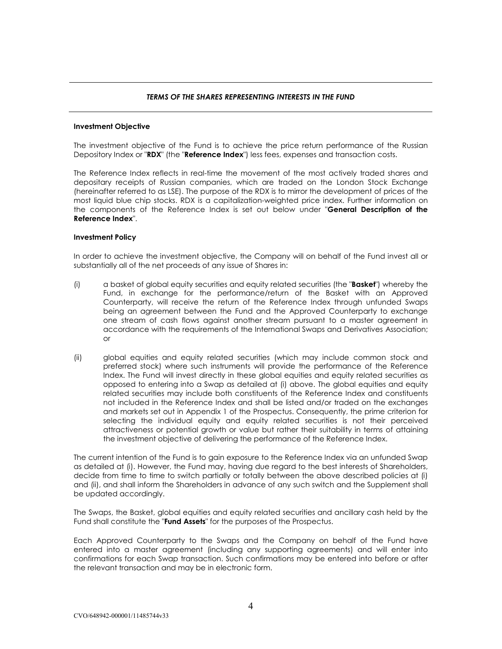# *TERMS OF THE SHARES REPRESENTING INTERESTS IN THE FUND*

# **Investment Objective**

The investment objective of the Fund is to achieve the price return performance of the Russian Depository Index or "**RDX**" (the "**Reference Index**") less fees, expenses and transaction costs.

The Reference Index reflects in real-time the movement of the most actively traded shares and depositary receipts of Russian companies, which are traded on the London Stock Exchange (hereinafter referred to as LSE). The purpose of the RDX is to mirror the development of prices of the most liquid blue chip stocks. RDX is a capitalization-weighted price index. Further information on the components of the Reference Index is set out below under "**General Description of the Reference Index**".

# **Investment Policy**

In order to achieve the investment objective, the Company will on behalf of the Fund invest all or substantially all of the net proceeds of any issue of Shares in:

- (i) a basket of global equity securities and equity related securities (the "**Basket**") whereby the Fund, in exchange for the performance/return of the Basket with an Approved Counterparty, will receive the return of the Reference Index through unfunded Swaps being an agreement between the Fund and the Approved Counterparty to exchange one stream of cash flows against another stream pursuant to a master agreement in accordance with the requirements of the International Swaps and Derivatives Association; or
- (ii) global equities and equity related securities (which may include common stock and preferred stock) where such instruments will provide the performance of the Reference Index. The Fund will invest directly in these global equities and equity related securities as opposed to entering into a Swap as detailed at (i) above. The global equities and equity related securities may include both constituents of the Reference Index and constituents not included in the Reference Index and shall be listed and/or traded on the exchanges and markets set out in Appendix 1 of the Prospectus. Consequently, the prime criterion for selecting the individual equity and equity related securities is not their perceived attractiveness or potential growth or value but rather their suitability in terms of attaining the investment objective of delivering the performance of the Reference Index.

The current intention of the Fund is to gain exposure to the Reference Index via an unfunded Swap as detailed at (i). However, the Fund may, having due regard to the best interests of Shareholders, decide from time to time to switch partially or totally between the above described policies at (i) and (ii), and shall inform the Shareholders in advance of any such switch and the Supplement shall be updated accordingly.

The Swaps, the Basket, global equities and equity related securities and ancillary cash held by the Fund shall constitute the "**Fund Assets**" for the purposes of the Prospectus.

Each Approved Counterparty to the Swaps and the Company on behalf of the Fund have entered into a master agreement (including any supporting agreements) and will enter into confirmations for each Swap transaction. Such confirmations may be entered into before or after the relevant transaction and may be in electronic form.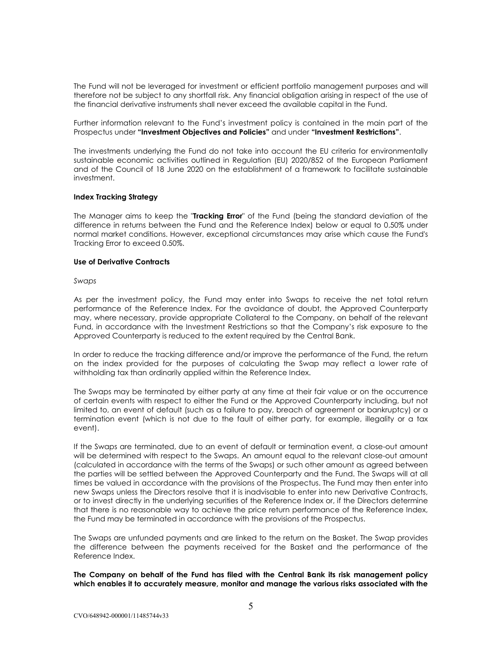The Fund will not be leveraged for investment or efficient portfolio management purposes and will therefore not be subject to any shortfall risk. Any financial obligation arising in respect of the use of the financial derivative instruments shall never exceed the available capital in the Fund.

Further information relevant to the Fund's investment policy is contained in the main part of the Prospectus under **"Investment Objectives and Policies"** and under **"Investment Restrictions"**.

The investments underlying the Fund do not take into account the EU criteria for environmentally sustainable economic activities outlined in Regulation (EU) 2020/852 of the European Parliament and of the Council of 18 June 2020 on the establishment of a framework to facilitate sustainable investment.

# **Index Tracking Strategy**

The Manager aims to keep the "**Tracking Error**" of the Fund (being the standard deviation of the difference in returns between the Fund and the Reference Index) below or equal to 0.50% under normal market conditions. However, exceptional circumstances may arise which cause the Fund's Tracking Error to exceed 0.50%.

#### **Use of Derivative Contracts**

*Swaps*

As per the investment policy, the Fund may enter into Swaps to receive the net total return performance of the Reference Index. For the avoidance of doubt, the Approved Counterparty may, where necessary, provide appropriate Collateral to the Company, on behalf of the relevant Fund, in accordance with the Investment Restrictions so that the Company's risk exposure to the Approved Counterparty is reduced to the extent required by the Central Bank.

In order to reduce the tracking difference and/or improve the performance of the Fund, the return on the index provided for the purposes of calculating the Swap may reflect a lower rate of withholding tax than ordinarily applied within the Reference Index.

The Swaps may be terminated by either party at any time at their fair value or on the occurrence of certain events with respect to either the Fund or the Approved Counterparty including, but not limited to, an event of default (such as a failure to pay, breach of agreement or bankruptcy) or a termination event (which is not due to the fault of either party, for example, illegality or a tax event).

If the Swaps are terminated, due to an event of default or termination event, a close-out amount will be determined with respect to the Swaps. An amount equal to the relevant close-out amount (calculated in accordance with the terms of the Swaps) or such other amount as agreed between the parties will be settled between the Approved Counterparty and the Fund. The Swaps will at all times be valued in accordance with the provisions of the Prospectus. The Fund may then enter into new Swaps unless the Directors resolve that it is inadvisable to enter into new Derivative Contracts, or to invest directly in the underlying securities of the Reference Index or, if the Directors determine that there is no reasonable way to achieve the price return performance of the Reference Index, the Fund may be terminated in accordance with the provisions of the Prospectus.

The Swaps are unfunded payments and are linked to the return on the Basket. The Swap provides the difference between the payments received for the Basket and the performance of the Reference Index.

**The Company on behalf of the Fund has filed with the Central Bank its risk management policy which enables it to accurately measure, monitor and manage the various risks associated with the**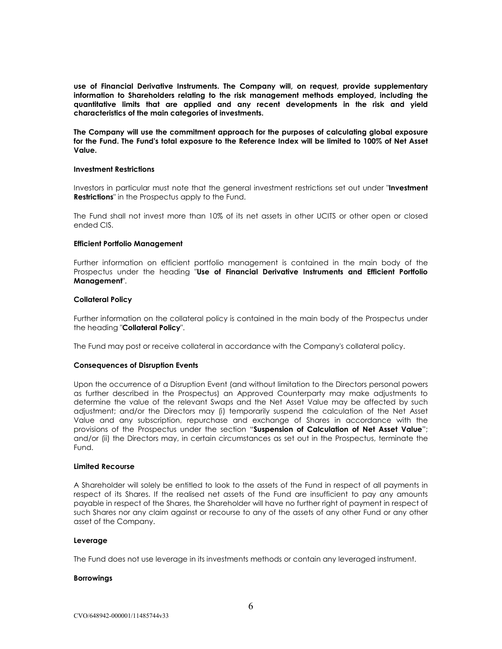**use of Financial Derivative Instruments. The Company will, on request, provide supplementary information to Shareholders relating to the risk management methods employed, including the quantitative limits that are applied and any recent developments in the risk and yield characteristics of the main categories of investments.**

**The Company will use the commitment approach for the purposes of calculating global exposure for the Fund. The Fund's total exposure to the Reference Index will be limited to 100% of Net Asset Value.**

#### **Investment Restrictions**

Investors in particular must note that the general investment restrictions set out under "**Investment Restrictions**" in the Prospectus apply to the Fund.

The Fund shall not invest more than 10% of its net assets in other UCITS or other open or closed ended CIS.

# **Efficient Portfolio Management**

Further information on efficient portfolio management is contained in the main body of the Prospectus under the heading "**Use of Financial Derivative Instruments and Efficient Portfolio Management**".

# **Collateral Policy**

Further information on the collateral policy is contained in the main body of the Prospectus under the heading "**Collateral Policy**".

The Fund may post or receive collateral in accordance with the Company's collateral policy.

# **Consequences of Disruption Events**

Upon the occurrence of a Disruption Event (and without limitation to the Directors personal powers as further described in the Prospectus) an Approved Counterparty may make adjustments to determine the value of the relevant Swaps and the Net Asset Value may be affected by such adjustment; and/or the Directors may (i) temporarily suspend the calculation of the Net Asset Value and any subscription, repurchase and exchange of Shares in accordance with the provisions of the Prospectus under the section "**Suspension of Calculation of Net Asset Value**"; and/or (ii) the Directors may, in certain circumstances as set out in the Prospectus, terminate the Fund.

#### **Limited Recourse**

A Shareholder will solely be entitled to look to the assets of the Fund in respect of all payments in respect of its Shares. If the realised net assets of the Fund are insufficient to pay any amounts payable in respect of the Shares, the Shareholder will have no further right of payment in respect of such Shares nor any claim against or recourse to any of the assets of any other Fund or any other asset of the Company.

#### **Leverage**

The Fund does not use leverage in its investments methods or contain any leveraged instrument.

#### **Borrowings**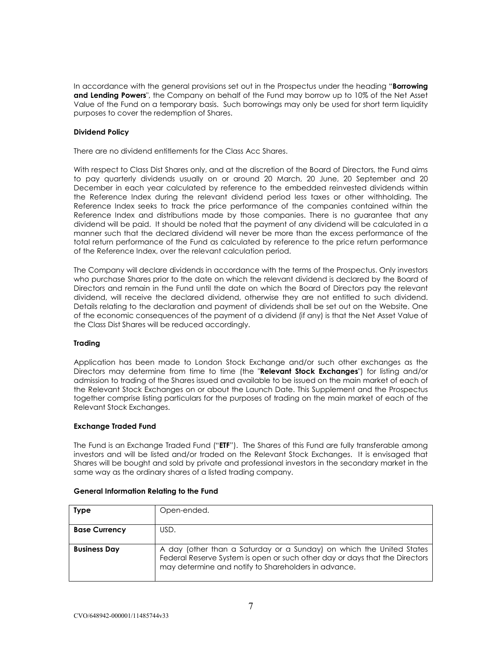In accordance with the general provisions set out in the Prospectus under the heading "**Borrowing and Lending Powers**", the Company on behalf of the Fund may borrow up to 10% of the Net Asset Value of the Fund on a temporary basis. Such borrowings may only be used for short term liquidity purposes to cover the redemption of Shares.

# **Dividend Policy**

There are no dividend entitlements for the Class Acc Shares.

With respect to Class Dist Shares only, and at the discretion of the Board of Directors, the Fund aims to pay quarterly dividends usually on or around 20 March, 20 June, 20 September and 20 December in each year calculated by reference to the embedded reinvested dividends within the Reference Index during the relevant dividend period less taxes or other withholding. The Reference Index seeks to track the price performance of the companies contained within the Reference Index and distributions made by those companies. There is no guarantee that any dividend will be paid. It should be noted that the payment of any dividend will be calculated in a manner such that the declared dividend will never be more than the excess performance of the total return performance of the Fund as calculated by reference to the price return performance of the Reference Index, over the relevant calculation period.

The Company will declare dividends in accordance with the terms of the Prospectus. Only investors who purchase Shares prior to the date on which the relevant dividend is declared by the Board of Directors and remain in the Fund until the date on which the Board of Directors pay the relevant dividend, will receive the declared dividend, otherwise they are not entitled to such dividend. Details relating to the declaration and payment of dividends shall be set out on the Website. One of the economic consequences of the payment of a dividend (if any) is that the Net Asset Value of the Class Dist Shares will be reduced accordingly.

# **Trading**

Application has been made to London Stock Exchange and/or such other exchanges as the Directors may determine from time to time (the "**Relevant Stock Exchanges**") for listing and/or admission to trading of the Shares issued and available to be issued on the main market of each of the Relevant Stock Exchanges on or about the Launch Date. This Supplement and the Prospectus together comprise listing particulars for the purposes of trading on the main market of each of the Relevant Stock Exchanges.

# **Exchange Traded Fund**

The Fund is an Exchange Traded Fund ("**ETF**"). The Shares of this Fund are fully transferable among investors and will be listed and/or traded on the Relevant Stock Exchanges. It is envisaged that Shares will be bought and sold by private and professional investors in the secondary market in the same way as the ordinary shares of a listed trading company.

| <b>Type</b>          | Open-ended.                                                                                                                                                                                                 |
|----------------------|-------------------------------------------------------------------------------------------------------------------------------------------------------------------------------------------------------------|
| <b>Base Currency</b> | USD.                                                                                                                                                                                                        |
| <b>Business Day</b>  | A day (other than a Saturday or a Sunday) on which the United States<br>Federal Reserve System is open or such other day or days that the Directors<br>may determine and notify to Shareholders in advance. |

# **General Information Relating to the Fund**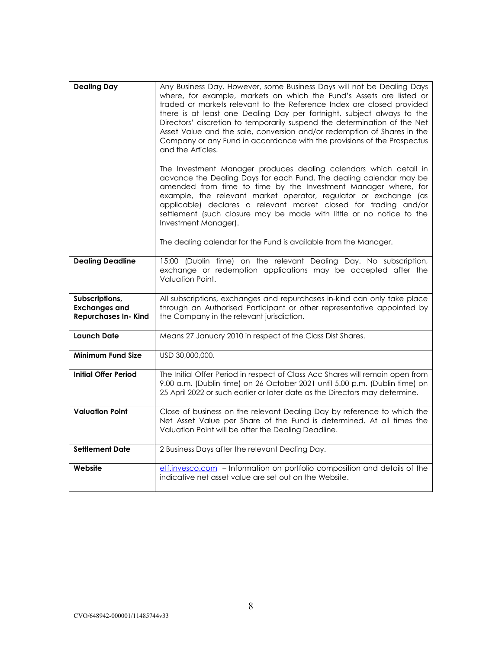| <b>Dealing Day</b>                                                    | Any Business Day. However, some Business Days will not be Dealing Days<br>where, for example, markets on which the Fund's Assets are listed or<br>traded or markets relevant to the Reference Index are closed provided<br>there is at least one Dealing Day per fortnight, subject always to the<br>Directors' discretion to temporarily suspend the determination of the Net<br>Asset Value and the sale, conversion and/or redemption of Shares in the<br>Company or any Fund in accordance with the provisions of the Prospectus<br>and the Articles. |  |
|-----------------------------------------------------------------------|-----------------------------------------------------------------------------------------------------------------------------------------------------------------------------------------------------------------------------------------------------------------------------------------------------------------------------------------------------------------------------------------------------------------------------------------------------------------------------------------------------------------------------------------------------------|--|
|                                                                       | The Investment Manager produces dealing calendars which detail in<br>advance the Dealing Days for each Fund. The dealing calendar may be<br>amended from time to time by the Investment Manager where, for<br>example, the relevant market operator, regulator or exchange (as<br>applicable) declares a relevant market closed for trading and/or<br>settlement (such closure may be made with little or no notice to the<br>Investment Manager).                                                                                                        |  |
|                                                                       | The dealing calendar for the Fund is available from the Manager.                                                                                                                                                                                                                                                                                                                                                                                                                                                                                          |  |
| <b>Dealing Deadline</b>                                               | 15:00 (Dublin time) on the relevant Dealing Day. No subscription,<br>exchange or redemption applications may be accepted after the<br>Valuation Point.                                                                                                                                                                                                                                                                                                                                                                                                    |  |
| Subscriptions,<br><b>Exchanges and</b><br><b>Repurchases In- Kind</b> | All subscriptions, exchanges and repurchases in-kind can only take place<br>through an Authorised Participant or other representative appointed by<br>the Company in the relevant jurisdiction.                                                                                                                                                                                                                                                                                                                                                           |  |
| <b>Launch Date</b>                                                    | Means 27 January 2010 in respect of the Class Dist Shares.                                                                                                                                                                                                                                                                                                                                                                                                                                                                                                |  |
| Minimum Fund Size                                                     | USD 30,000,000.                                                                                                                                                                                                                                                                                                                                                                                                                                                                                                                                           |  |
| <b>Initial Offer Period</b>                                           | The Initial Offer Period in respect of Class Acc Shares will remain open from<br>9.00 a.m. (Dublin time) on 26 October 2021 until 5.00 p.m. (Dublin time) on<br>25 April 2022 or such earlier or later date as the Directors may determine.                                                                                                                                                                                                                                                                                                               |  |
| <b>Valuation Point</b>                                                | Close of business on the relevant Dealing Day by reference to which the<br>Net Asset Value per Share of the Fund is determined. At all times the<br>Valuation Point will be after the Dealing Deadline.                                                                                                                                                                                                                                                                                                                                                   |  |
| <b>Settlement Date</b>                                                | 2 Business Days after the relevant Dealing Day.                                                                                                                                                                                                                                                                                                                                                                                                                                                                                                           |  |
| Website                                                               | etf.invesco.com - Information on portfolio composition and details of the<br>indicative net asset value are set out on the Website.                                                                                                                                                                                                                                                                                                                                                                                                                       |  |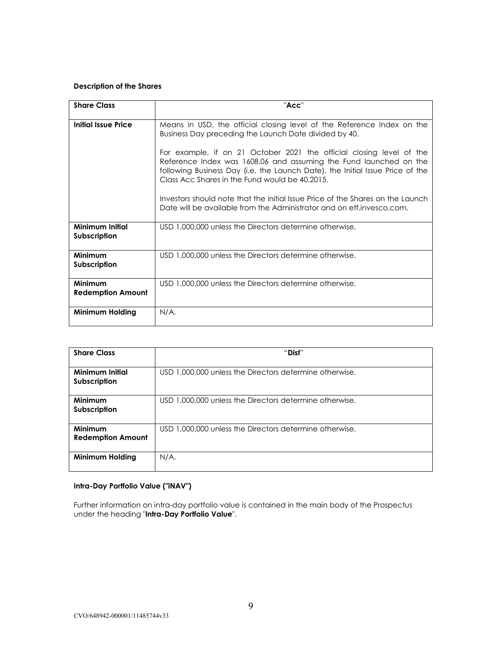# **Description of the Shares**

| <b>Share Class</b>                  | "Acc"                                                                                                                                                                                                                                                                        |  |
|-------------------------------------|------------------------------------------------------------------------------------------------------------------------------------------------------------------------------------------------------------------------------------------------------------------------------|--|
| Initial Issue Price                 | Means in USD, the official closing level of the Reference Index on the<br>Business Day preceding the Launch Date divided by 40.                                                                                                                                              |  |
|                                     | For example, if on 21 October 2021 the official closing level of the<br>Reference Index was 1608.06 and assuming the Fund launched on the<br>following Business Day (i.e. the Launch Date), the Initial Issue Price of the<br>Class Acc Shares in the Fund would be 40.2015. |  |
|                                     | Investors should note that the initial Issue Price of the Shares on the Launch<br>Date will be available from the Administrator and on etf.invesco.com.                                                                                                                      |  |
| Minimum Initial<br>Subscription     | USD 1,000,000 unless the Directors determine otherwise.                                                                                                                                                                                                                      |  |
| Minimum<br>Subscription             | USD 1,000,000 unless the Directors determine otherwise.                                                                                                                                                                                                                      |  |
| Minimum<br><b>Redemption Amount</b> | USD 1,000,000 unless the Directors determine otherwise.                                                                                                                                                                                                                      |  |
| Minimum Holding                     | N/A.                                                                                                                                                                                                                                                                         |  |

| <b>Share Class</b>                         | "Dist"                                                  |
|--------------------------------------------|---------------------------------------------------------|
| Minimum Initial<br>Subscription            | USD 1,000,000 unless the Directors determine otherwise. |
| <b>Minimum</b><br>Subscription             | USD 1,000,000 unless the Directors determine otherwise. |
| <b>Minimum</b><br><b>Redemption Amount</b> | USD 1,000,000 unless the Directors determine otherwise. |
| Minimum Holding                            | N/A.                                                    |

# **Intra-Day Portfolio Value ("iNAV")**

Further information on intra-day portfolio value is contained in the main body of the Prospectus under the heading "**Intra-Day Portfolio Value**".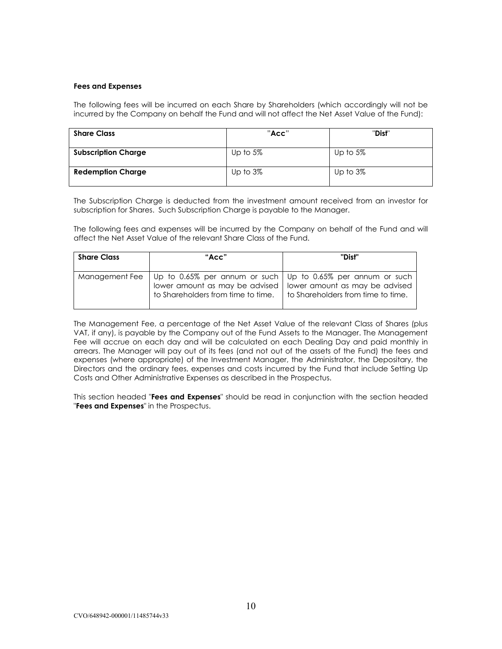# **Fees and Expenses**

The following fees will be incurred on each Share by Shareholders (which accordingly will not be incurred by the Company on behalf the Fund and will not affect the Net Asset Value of the Fund):

| <b>Share Class</b>         | "Acc"       | "Dist"      |
|----------------------------|-------------|-------------|
| <b>Subscription Charge</b> | Up to $5\%$ | Up to $5\%$ |
| <b>Redemption Charge</b>   | Up to $3\%$ | Up to $3\%$ |

The Subscription Charge is deducted from the investment amount received from an investor for subscription for Shares. Such Subscription Charge is payable to the Manager.

The following fees and expenses will be incurred by the Company on behalf of the Fund and will affect the Net Asset Value of the relevant Share Class of the Fund.

| <b>Share Class</b> | "Acc"                                                                                                                | "Dist"                                                                                                |
|--------------------|----------------------------------------------------------------------------------------------------------------------|-------------------------------------------------------------------------------------------------------|
|                    | Management Fee   Up to 0.65% per annum or such   Up to 0.65% per annum or such<br>to Shareholders from time to time. | lower amount as may be advised   lower amount as may be advised<br>to Shareholders from time to time. |

The Management Fee, a percentage of the Net Asset Value of the relevant Class of Shares (plus VAT, if any), is payable by the Company out of the Fund Assets to the Manager. The Management Fee will accrue on each day and will be calculated on each Dealing Day and paid monthly in arrears. The Manager will pay out of its fees (and not out of the assets of the Fund) the fees and expenses (where appropriate) of the Investment Manager, the Administrator, the Depositary, the Directors and the ordinary fees, expenses and costs incurred by the Fund that include Setting Up Costs and Other Administrative Expenses as described in the Prospectus.

This section headed "**Fees and Expenses**" should be read in conjunction with the section headed "**Fees and Expenses**" in the Prospectus.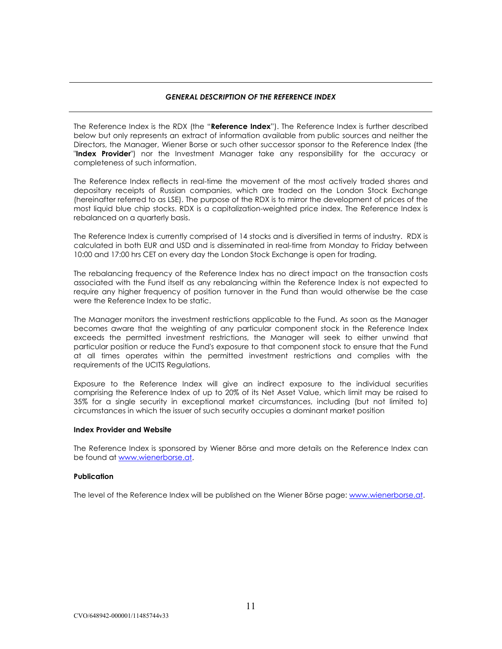# *GENERAL DESCRIPTION OF THE REFERENCE INDEX*

The Reference Index is the RDX (the "**Reference Index**"). The Reference Index is further described below but only represents an extract of information available from public sources and neither the Directors, the Manager, Wiener Borse or such other successor sponsor to the Reference Index (the "**Index Provider**") nor the Investment Manager take any responsibility for the accuracy or completeness of such information.

The Reference Index reflects in real-time the movement of the most actively traded shares and depositary receipts of Russian companies, which are traded on the London Stock Exchange (hereinafter referred to as LSE). The purpose of the RDX is to mirror the development of prices of the most liquid blue chip stocks. RDX is a capitalization-weighted price index. The Reference Index is rebalanced on a quarterly basis.

The Reference Index is currently comprised of 14 stocks and is diversified in terms of industry. RDX is calculated in both EUR and USD and is disseminated in real-time from Monday to Friday between 10:00 and 17:00 hrs CET on every day the London Stock Exchange is open for trading.

The rebalancing frequency of the Reference Index has no direct impact on the transaction costs associated with the Fund itself as any rebalancing within the Reference Index is not expected to require any higher frequency of position turnover in the Fund than would otherwise be the case were the Reference Index to be static.

The Manager monitors the investment restrictions applicable to the Fund. As soon as the Manager becomes aware that the weighting of any particular component stock in the Reference Index exceeds the permitted investment restrictions, the Manager will seek to either unwind that particular position or reduce the Fund's exposure to that component stock to ensure that the Fund at all times operates within the permitted investment restrictions and complies with the requirements of the UCITS Regulations.

Exposure to the Reference Index will give an indirect exposure to the individual securities comprising the Reference Index of up to 20% of its Net Asset Value, which limit may be raised to 35% for a single security in exceptional market circumstances, including (but not limited to) circumstances in which the issuer of such security occupies a dominant market position

# **Index Provider and Website**

The Reference Index is sponsored by Wiener Börse and more details on the Reference Index can be found at www.wienerborse.at.

# **Publication**

The level of the Reference Index will be published on the Wiener Börse page: [www.wienerborse.at.](http://www.wienerborse.at/)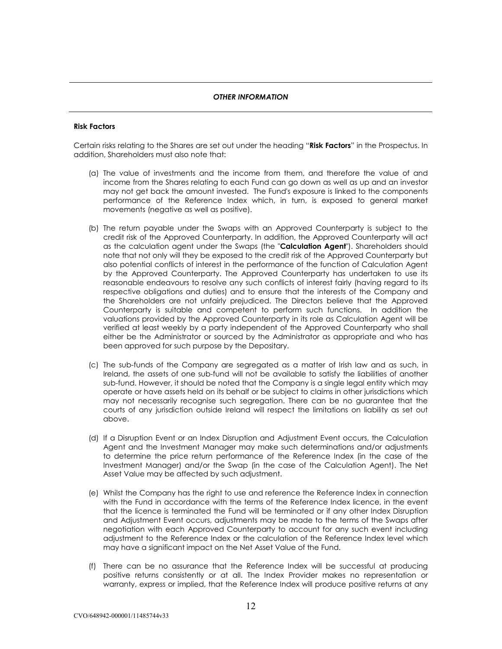# *OTHER INFORMATION*

# **Risk Factors**

Certain risks relating to the Shares are set out under the heading "**Risk Factors**" in the Prospectus. In addition, Shareholders must also note that:

- (a) The value of investments and the income from them, and therefore the value of and income from the Shares relating to each Fund can go down as well as up and an investor may not get back the amount invested. The Fund's exposure is linked to the components performance of the Reference Index which, in turn, is exposed to general market movements (negative as well as positive).
- (b) The return payable under the Swaps with an Approved Counterparty is subject to the credit risk of the Approved Counterparty. In addition, the Approved Counterparty will act as the calculation agent under the Swaps (the "**Calculation Agent**"). Shareholders should note that not only will they be exposed to the credit risk of the Approved Counterparty but also potential conflicts of interest in the performance of the function of Calculation Agent by the Approved Counterparty. The Approved Counterparty has undertaken to use its reasonable endeavours to resolve any such conflicts of interest fairly (having regard to its respective obligations and duties) and to ensure that the interests of the Company and the Shareholders are not unfairly prejudiced. The Directors believe that the Approved Counterparty is suitable and competent to perform such functions. In addition the valuations provided by the Approved Counterparty in its role as Calculation Agent will be verified at least weekly by a party independent of the Approved Counterparty who shall either be the Administrator or sourced by the Administrator as appropriate and who has been approved for such purpose by the Depositary.
- (c) The sub-funds of the Company are segregated as a matter of Irish law and as such, in Ireland, the assets of one sub-fund will not be available to satisfy the liabilities of another sub-fund. However, it should be noted that the Company is a single legal entity which may operate or have assets held on its behalf or be subject to claims in other jurisdictions which may not necessarily recognise such segregation. There can be no guarantee that the courts of any jurisdiction outside Ireland will respect the limitations on liability as set out above.
- (d) If a Disruption Event or an Index Disruption and Adjustment Event occurs, the Calculation Agent and the Investment Manager may make such determinations and/or adjustments to determine the price return performance of the Reference Index (in the case of the Investment Manager) and/or the Swap (in the case of the Calculation Agent). The Net Asset Value may be affected by such adjustment.
- (e) Whilst the Company has the right to use and reference the Reference Index in connection with the Fund in accordance with the terms of the Reference Index licence, in the event that the licence is terminated the Fund will be terminated or if any other Index Disruption and Adjustment Event occurs, adjustments may be made to the terms of the Swaps after negotiation with each Approved Counterparty to account for any such event including adjustment to the Reference Index or the calculation of the Reference Index level which may have a significant impact on the Net Asset Value of the Fund.
- (f) There can be no assurance that the Reference Index will be successful at producing positive returns consistently or at all. The Index Provider makes no representation or warranty, express or implied, that the Reference Index will produce positive returns at any